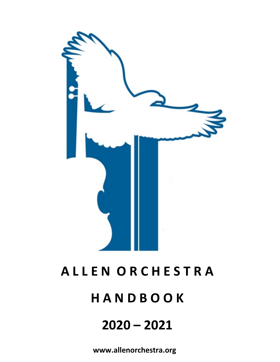

# **A L L E N O R C H E S T R A H A N D B O O K 2020 – 2021**

**www.allenorchestra.org**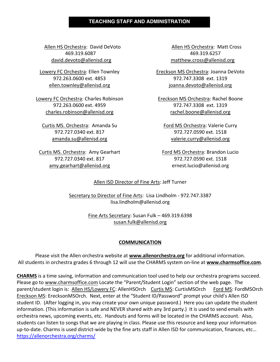#### **TEACHING STAFF AND ADMINISTRATION**

Allen HS Orchestra: David DeVoto Allen HS Orchestra: Matt Cross 469.319.6087 469.319.6257 david.devoto@allenisd.org matthew.cross@allenisd.org

Lowery FC Orchestra: Ellen Townley 972.263.0600 ext. 4853 ellen.townley@allenisd.org

Lowery FC Orchestra: Charles Robinson 972.263.0600 ext. 4959 charles.robinson@allenisd.org

Curtis MS. Orchestra: Amanda Su 972.727.0340 ext. 817 amanda.su@allenisd.org

Curtis MS. Orchestra: Amy Gearhart 972.727.0340 ext. 817 amy.gearhart@allenisd.org

Ereckson MS Orchestra: Joanna DeVoto 972.747.3308 ext. 1319 joanna.devoto@allenisd.org

Ereckson MS Orchestra: Rachel Boone 972.747.3308 ext. 1319 rachel.boone@allenisd.org

Ford MS Orchestra: Valerie Curry 972.727.0590 ext. 1518 valerie.curry@allenisd.org

Ford MS Orchestra: Brandon Lucio 972.727.0590 ext. 1518 ernest.lucio@allenisd.org

#### Allen ISD Director of Fine Arts: Jeff Turner

Secretary to Director of Fine Arts: Lisa Lindholm - 972.747.3387 lisa.lindholm@allenisd.org

> Fine Arts Secretary: Susan Fulk – 469.319.6398 susan.fulk@allenisd.org

#### **COMMUNICATION**

Please visit the Allen orchestra website at **www.allenorchestra.org** for additional information. All students in orchestra grades 6 through 12 will use the CHARMS system on-line at **www.charmsoffice.com**.

**CHARMS** is a time saving, information and communication tool used to help our orchestra programs succeed. Please go to www.charmsoffice.com Locate the "Parent/Student Login" section of the web page. The parent/student login is: Allen HS/Lowery FC: AllenHSOrch Curtis MS: CurtisMSOrch Ford MS: FordMSOrch Ereckson MS: ErecksonMSOrch. Next, enter at the "Student ID/Password" prompt your child's Allen ISD student ID. (After logging in, you may create your own unique password.) Here you can update the student information. (This information is safe and NEVER shared with any 3rd party.) It is used to send emails with orchestra news, upcoming events, etc. Handouts and forms will be located in the CHARMS account. Also, students can listen to songs that we are playing in class. Please use this resource and keep your information up-to-date. Charms is used district-wide by the fine arts staff in Allen ISD for communication, finances, etc… https://allenorchestra.org/charms/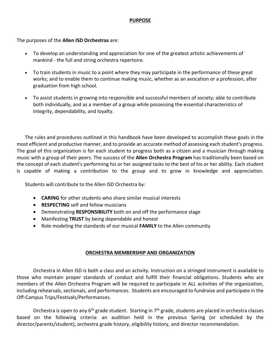#### **PURPOSE**

The purposes of the **Allen ISD Orchestras** are:

- To develop an understanding and appreciation for one of the greatest artistic achievements of mankind - the full and string orchestra repertoire.
- To train students in music to a point where they may participate in the performance of these great works; and to enable them to continue making music, whether as an avocation or a profession, after graduation from high school.
- To assist students in growing into responsible and successful members of society; able to contribute both individually, and as a member of a group while possessing the essential characteristics of integrity, dependability, and loyalty.

The rules and procedures outlined in this handbook have been developed to accomplish these goals in the most efficient and productive manner, and to provide an accurate method of assessing each student's progress. The goal of this organization is for each student to progress both as a citizen and a musician through making music with a group of their peers. The success of the **Allen Orchestra Program** has traditionally been based on the concept of each student's performing his or her assigned tasks to the best of his or her ability. Each student is capable of making a contribution to the group and to grow in knowledge and appreciation.

Students will contribute to the Allen ISD Orchestra by:

- **CARING** for other students who share similar musical interests
- **RESPECTING** self and fellow musicians
- Demonstrating **RESPONSIBILITY** both on and off the performance stage
- Manifesting **TRUST** by being dependable and honest
- Role modeling the standards of our musical **FAMILY** to the Allen community

# **ORCHESTRA MEMBERSHIP AND ORGANIZATION**

Orchestra in Allen ISD is both a class and an activity. Instruction on a stringed instrument is available to those who maintain proper standards of conduct and fulfill their financial obligations. Students who are members of the Allen Orchestra Program will be required to participate in ALL activities of the organization, including rehearsals, sectionals, and performances. Students are encouraged to fundraise and participate in the Off-Campus Trips/Festivals/Performances.

Orchestra is open to any  $6<sup>th</sup>$  grade student. Starting in  $7<sup>th</sup>$  grade, students are placed in orchestra classes based on the following criteria: an audition held in the previous Spring (or scheduled by the director/parents/student), orchestra grade history, eligibility history, and director recommendation.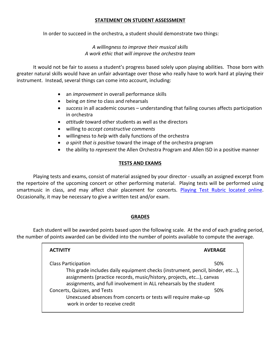#### **STATEMENT ON STUDENT ASSESSMENT**

In order to succeed in the orchestra, a student should demonstrate two things:

# *A willingness to improve their musical skills A work ethic that will improve the orchestra team*

It would not be fair to assess a student's progress based solely upon playing abilities. Those born with greater natural skills would have an unfair advantage over those who really have to work hard at playing their instrument. Instead, several things can come into account, including:

- an *improvement* in overall performance skills
- being *on time* to class and rehearsals
- *success* in all academic courses understanding that failing courses affects participation in orchestra
- *attitude* toward other students as well as the directors
- willing to *accept constructive comments*
- willingness to *help* with daily functions of the orchestra
- *a spirit that is positive* toward the image of the orchestra program
- the ability to *represent* the Allen Orchestra Program and Allen ISD in a positive manner

# **TESTS AND EXAMS**

Playing tests and exams, consist of material assigned by your director - usually an assigned excerpt from the repertoire of the upcoming concert or other performing material. Playing tests will be performed using smartmusic in class, and may affect chair placement for concerts. Playing Test Rubric located online. Occasionally, it may be necessary to give a written test and/or exam.

#### **GRADES**

Each student will be awarded points based upon the following scale. At the end of each grading period, the number of points awarded can be divided into the number of points available to compute the average.

| <b>ACTIVITY</b>                                                                                                                                                                                                             | <b>AVERAGE</b> |
|-----------------------------------------------------------------------------------------------------------------------------------------------------------------------------------------------------------------------------|----------------|
| <b>Class Participation</b>                                                                                                                                                                                                  | 50%            |
| This grade includes daily equipment checks (instrument, pencil, binder, etc),<br>assignments (practice records, music/history, projects, etc), canvas<br>assignments, and full involvement in ALL rehearsals by the student |                |
| Concerts, Quizzes, and Tests<br>Unexcused absences from concerts or tests will require make-up<br>work in order to receive credit                                                                                           | 50%            |
|                                                                                                                                                                                                                             |                |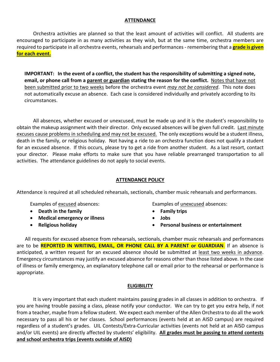#### **ATTENDANCE**

Orchestra activities are planned so that the least amount of activities will conflict. All students are encouraged to participate in as many activities as they wish, but at the same time, orchestra members are required to participate in all orchestra events, rehearsals and performances - remembering that a **grade is given for each event.**

**IMPORTANT: In the event of a conflict, the student has the responsibility of submitting a signed note, email, or phone call from a parent or guardian stating the reason for the conflict.** Notes that have not been submitted prior to two weeks before the orchestra event *may not be considered*. This note does not automatically excuse an absence. Each case is considered individually and privately according to its circumstances.

All absences, whether excused or unexcused, must be made up and it is the student's responsibility to obtain the makeup assignment with their director. Only excused absences will be given full credit. Last minute excuses cause problems in scheduling and may not be excused. The only exceptions would be a student illness, death in the family, or religious holiday. Not having a ride to an orchestra function does not qualify a student for an excused absence. If this occurs, please try to get a ride from another student. As a last resort, contact your director. Please make efforts to make sure that you have reliable prearranged transportation to all activities. The attendance guidelines do not apply to social events.

#### **ATTENDANCE POLICY**

Attendance is required at all scheduled rehearsals, sectionals, chamber music rehearsals and performances.

Examples of excused absences:

- **Death in the family**
- **Medical emergency or illness**
- **Religious holiday**

Examples of unexcused absences:

- **Family trips**
- **Jobs**
- **Personal business or entertainment**

All requests for excused absence from rehearsals, sectionals, chamber music rehearsals and performances are to be **REPORTED IN WRITING, EMAIL, OR PHONE CALL BY A PARENT or GUARDIAN**. If an absence is anticipated, a written request for an excused absence should be submitted at least two weeks in advance. Emergency circumstances may justify an excused absence for reasons other than those listed above. In the case of illness or family emergency, an explanatory telephone call or email prior to the rehearsal or performance is appropriate.

#### **ELIGIBILITY**

It is very important that each student maintains passing grades in all classes in addition to orchestra. If you are having trouble passing a class, please notify your conductor. We can try to get you extra help, if not from a teacher, maybe from a fellow student. We expect each member of the Allen Orchestra to do all the work necessary to pass all his or her classes. School performances (events held at an AISD campus) are required regardless of a student's grades. UIL Contests/Extra-Curricular activities (events not held at an AISD campus and/or UIL events) are directly affected by students' eligibility. **All grades must be passing to attend contests and school orchestra trips (events outside of AISD)**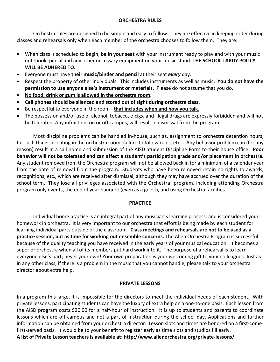# **ORCHESTRA RULES**

Orchestra rules are designed to be simple and easy to follow. They are effective in keeping order during classes and rehearsals only when each member of the orchestra chooses to follow them. They are:

- When class is scheduled to begin, **be in your seat** with your instrument ready to play and with your music notebook, pencil and any other necessary equipment on your music stand. **THE SCHOOL TARDY POLICY WILL BE ADHERED TO.**
- Everyone must have **their music/binder and pencil** at their seat *every* day.
- Respect the property of other individuals. This includes instruments as well as music. **You do not have the permission to use anyone else's instrument or materials.** Please do not assume that you do.
- **No food, drink or gum is allowed in the orchestra room.**
- **Cell phones should be silenced and stored out of sight during orchestra class.**
- Be respectful to everyone in the room **that includes when and how you talk**.
- The possession and/or use of alcohol, tobacco, e-cigs, and illegal drugs are expressly forbidden and will not be tolerated. Any infraction, on or off campus, will result in dismissal from the program.

Most discipline problems can be handled in-house, such as, assignment to orchestra detention hours, for such things as eating in the orchestra room, failure to follow rules, etc… Any behavior problem can (for any reason) result in a call home and submission of the AISD Student Discipline Form to their house office. **Poor behavior will not be tolerated and can affect a student's participation grade and/or placement in orchestra.** Any student removed from the Orchestra program will not be allowed back in for a minimum of a calendar year from the date of removal from the program. Students who have been removed retain no rights to awards, recognitions, etc., which are received after dismissal, although they may have accrued over the duration of the school term. They lose all privileges associated with the Orchestra program, including attending Orchestra program only events, the end of year banquet (even as a guest), and using Orchestra facilities.

# **PRACTICE**

Individual home practice is an integral part of any musician's learning process, and is considered your homework in orchestra. It is very important to our orchestra that effort is being made by each student for learning individual parts outside of the classroom. **Class meetings and rehearsals are not to be used as a practice session, but as time for working out ensemble concerns.** The Allen Orchestra Program is successful because of the quality teaching you have received in the early years of your musical education. It becomes a superior orchestra when all of its members put hard work into it. The purpose of a rehearsal is to learn everyone else's part; never your own! Your own preparation is your welcoming gift to your colleagues. Just as in any other class, if there is a problem in the music that you cannot handle, please talk to your orchestra director about extra help.

# **PRIVATE LESSONS**

In a program this large, it is impossible for the directors to meet the individual needs of each student. With private lessons, participating students can have the luxury of extra help on a one-to-one basis. Each lesson from the AISD program costs \$20.00 for a half-hour of instruction. It is up to students and parents to coordinate lessons which are off-campus and not a part of instruction during the school day. Applications and further information can be obtained from your orchestra director. Lesson slots and times are honored on a first-comefirst-served basis. It would be to your benefit to register early as time slots and studios fill early.

**A list of Private Lesson teachers is available at: http://www.allenorchestra.org/private-lessons/**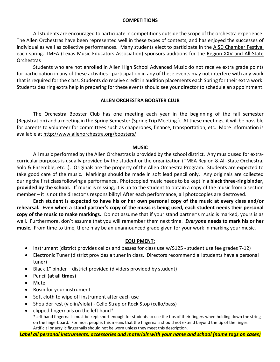#### **COMPETITIONS**

All students are encouraged to participate in competitions outside the scope of the orchestra experience. The Allen Orchestras have been represented well in these types of contests, and has enjoyed the successes of individual as well as collective performances. Many students elect to participate in the AISD Chamber Festival each spring. TMEA (Texas Music Educators Association) sponsors auditions for the Region XXV and All-State **Orchestras** 

Students who are not enrolled in Allen High School Advanced Music do not receive extra grade points for participation in any of these activities - participation in any of these events may not interfere with any work that is required for the class. Students do receive credit in audition placements each Spring for their extra work. Students desiring extra help in preparing for these events should see your director to schedule an appointment.

#### **ALLEN ORCHESTRA BOOSTER CLUB**

The Orchestra Booster Club has one meeting each year in the beginning of the fall semester (Registration) and a meeting in the Spring Semester (Spring Trip Meeting.). At these meetings, it will be possible for parents to volunteer for committees such as chaperones, finance, transportation, etc. More information is available at http://www.allenorchestra.org/boosters/

#### **MUSIC**

All music performed by the Allen Orchestras is provided by the school district. Any music used for extracurricular purposes is usually provided by the student or the organization (TMEA Region & All-State Orchestra, Solo & Ensemble, etc…). Originals are the property of the Allen Orchestra Program. Students are expected to take good care of the music. Markings should be made in soft lead pencil only. Any originals are collected during the first class following a performance. Photocopied music needs to be kept in a **black three-ring binder, provided by the school.** If music is missing, it is up to the student to obtain a copy of the music from a section member – it is not the director's responsibility! After each performance, all photocopies are destroyed.

**Each student is expected to have his or her own personal copy of the music at every class and/or rehearsal. Even when a stand partner's copy of the music is being used, each student needs their personal copy of the music to make markings.** Do not assume that if your stand partner's music is marked, yours is as well. Furthermore, don't assume that you will remember them next time. *Everyone* **needs to mark his or her music**. From time to time, there may be an unannounced grade given for your work in marking your music.

# **EQUIPMENT:**

- Instrument (district provides cellos and basses for class use w/\$125 student use fee grades 7-12)
- Electronic Tuner (district provides a tuner in class. Directors recommend all students have a personal tuner)
- Black 1" binder district provided (dividers provided by student)
- Pencil (**at all times**)
- Mute
- Rosin for your instrument
- Soft cloth to wipe off instrument after each use
- Shoulder rest (violin/viola) Cello Strap or Rock Stop (cello/bass)
- clipped fingernails on the left hand\* \*Left hand fingernails must be kept short enough for students to use the tips of their fingers when holding down the string on the fingerboard. For most people, this means that the fingernails should not extend beyond the tip of the finger. Artificial or acrylic fingernails should not be worn unless they meet this description.

*Label all personal instruments, accessories and materials with your name and school (name tags on cases)*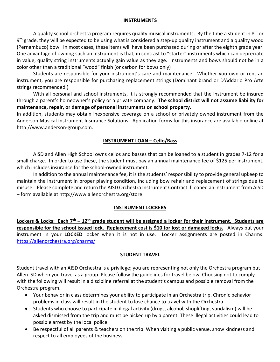#### **INSTRUMENTS**

A quality school orchestra program requires quality musical instruments. By the time a student in  $8<sup>th</sup>$  or  $9<sup>th</sup>$  grade, they will be expected to be using what is considered a step-up quality instrument and a quality wood (Pernambuco) bow. In most cases, these items will have been purchased during or after the eighth grade year. One advantage of owning such an instrument is that, in contrast to "starter" instruments which can depreciate in value, quality string instruments actually gain value as they age. Instruments and bows should not be in a color other than a traditional "wood" finish (or carbon for bows only)

Students are responsible for your instrument's care and maintenance. Whether you own or rent an instrument, you are responsible for purchasing replacement strings (Dominant brand or D'Addario Pro Arte strings recommended.)

With all personal and school instruments, it is strongly recommended that the instrument be insured through a parent's homeowner's policy or a private company. **The school district will not assume liability for maintenance, repair, or damage of personal instruments on school property.**

In addition, students may obtain inexpensive coverage on a school or privately owned instrument from the Anderson Musical Instrument Insurance Solutions. Application forms for this insurance are available online at http://www.anderson-group.com.

# **INSTRUMENT LOAN – Cello/Bass**

AISD and Allen High School owns cellos and basses that can be loaned to a student in grades 7-12 for a small charge. In order to use these, the student must pay an annual maintenance fee of \$125 per instrument, which includes insurance for the school-owned instrument.

In addition to the annual maintenance fee, it is the students' responsibility to provide general upkeep to maintain the instrument in proper playing condition, including bow rehair and replacement of strings due to misuse. Please complete and return the AISD Orchestra Instrument Contract if loaned an instrument from AISD – form available at http://www.allenorchestra.org/store

# **INSTRUMENT LOCKERS**

**Lockers & Locks: Each 7th – 12th grade student will be assigned a locker for their instrument. Students are responsible for the school issued lock. Replacement cost is \$10 for lost or damaged locks.** Always put your instrument in your **LOCKED** locker when it is not in use. Locker assignments are posted in Charms: https://allenorchestra.org/charms/

# **STUDENT TRAVEL**

Student travel with an AISD Orchestra is a privilege; you are representing not only the Orchestra program but Allen ISD when you travel as a group. Please follow the guidelines for travel below. Choosing not to comply with the following will result in a discipline referral at the student's campus and possible removal from the Orchestra program.

- Your behavior in class determines your ability to participate in an Orchestra trip. Chronic behavior problems in class will result in the student to lose chance to travel with the Orchestra.
- Students who choose to participate in illegal activity (drugs, alcohol, shoplifting, vandalism) will be asked dismissed from the trip and must be picked up by a parent. These illegal activities could lead to possible arrest by the local police.
- Be respectful of all parents & teachers on the trip. When visiting a public venue, show kindness and respect to all employees of the business.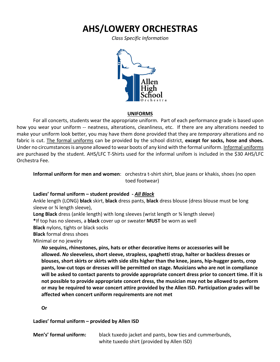# **AHS/LOWERY ORCHESTRAS**

*Class Specific Information*



#### **UNIFORMS**

For all concerts, students wear the appropriate uniform. Part of each performance grade is based upon how you wear your uniform -- neatness, alterations, cleanliness, etc. If there are any alterations needed to make your uniform look better, you may have them done provided that they are *temporary* alterations and no fabric is cut. The formal uniforms can be provided by the school district, **except for socks, hose and shoes.** Under no circumstances is anyone allowed to wear boots of any kind with the formal uniform. Informal uniforms are purchased by the student. AHS/LFC T-Shirts used for the informal unifom is included in the \$30 AHS/LFC Orchestra Fee.

**Informal uniform for men and women**: orchestra t-shirt shirt, blue jeans or khakis, shoes (no open toed footwear)

# **Ladies' formal uniform – student provided -** *All Black*

Ankle length (LONG) **black** skirt, **black** dress pants, **black** dress blouse (dress blouse must be long sleeve or ¾ length sleeve),

**Long Black** dress (ankle length) with long sleeves (wrist length or ¾ length sleeve)

**\***If top has no sleeves, a **black** cover up or sweater **MUST** be worn as well

**Black** nylons, tights or black socks

**Black** formal dress shoes

Minimal or no jewelry

*No* **sequins, rhinestones, pins, hats or other decorative items or accessories will be allowed.** *No* **sleeveless, short sleeve, strapless, spaghetti strap, halter or backless dresses or blouses, short skirts or skirts with side slits higher than the knee, jeans, hip-hugger pants, crop pants, low-cut tops or dresses will be permitted on stage. Musicians who are not in compliance will be asked to contact parents to provide appropriate concert dress prior to concert time. If it is not possible to provide appropriate concert dress, the musician may not be allowed to perform or may be required to wear concert attire provided by the Allen ISD. Participation grades will be affected when concert uniform requirements are not met**

**Or**

**Ladies' formal uniform – provided by Allen ISD**

| Men's' formal uniform: | black tuxedo jacket and pants, bow ties and cummerbunds, |
|------------------------|----------------------------------------------------------|
|                        | white tuxedo shirt (provided by Allen ISD)               |